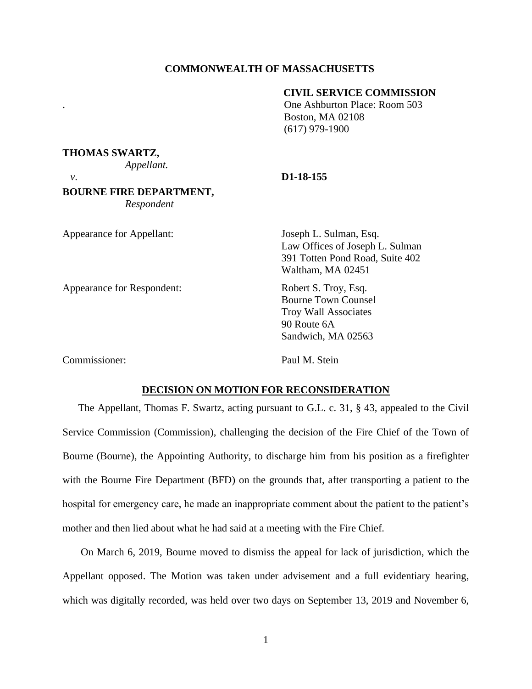## **COMMONWEALTH OF MASSACHUSETTS**

# **CIVIL SERVICE COMMISSION**

. One Ashburton Place: Room 503 Boston, MA 02108 (617) 979-1900

### **THOMAS SWARTZ,**

*Appellant.* 

### *v*. **D1-18-155**

## **BOURNE FIRE DEPARTMENT,** *Respondent*

Appearance for Appellant: Joseph L. Sulman, Esq.

Appearance for Respondent: Robert S. Troy, Esq.

Law Offices of Joseph L. Sulman 391 Totten Pond Road, Suite 402 Waltham, MA 02451

Bourne Town Counsel Troy Wall Associates 90 Route 6A Sandwich, MA 02563

Commissioner: Paul M. Stein

## **DECISION ON MOTION FOR RECONSIDERATION**

The Appellant, Thomas F. Swartz, acting pursuant to G.L. c. 31, § 43, appealed to the Civil Service Commission (Commission), challenging the decision of the Fire Chief of the Town of Bourne (Bourne), the Appointing Authority, to discharge him from his position as a firefighter with the Bourne Fire Department (BFD) on the grounds that, after transporting a patient to the hospital for emergency care, he made an inappropriate comment about the patient to the patient's mother and then lied about what he had said at a meeting with the Fire Chief.

On March 6, 2019, Bourne moved to dismiss the appeal for lack of jurisdiction, which the Appellant opposed. The Motion was taken under advisement and a full evidentiary hearing, which was digitally recorded, was held over two days on September 13, 2019 and November 6,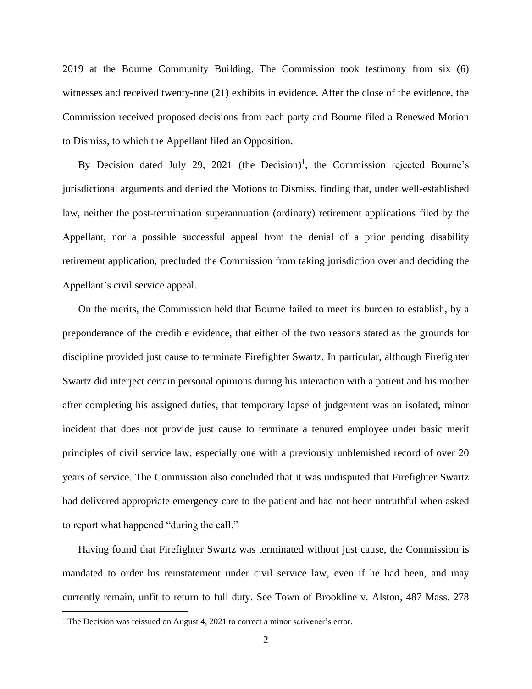2019 at the Bourne Community Building. The Commission took testimony from six (6) witnesses and received twenty-one (21) exhibits in evidence. After the close of the evidence, the Commission received proposed decisions from each party and Bourne filed a Renewed Motion to Dismiss, to which the Appellant filed an Opposition.

By Decision dated July 29, 2021 (the Decision)<sup>1</sup>, the Commission rejected Bourne's jurisdictional arguments and denied the Motions to Dismiss, finding that, under well-established law, neither the post-termination superannuation (ordinary) retirement applications filed by the Appellant, nor a possible successful appeal from the denial of a prior pending disability retirement application, precluded the Commission from taking jurisdiction over and deciding the Appellant's civil service appeal.

On the merits, the Commission held that Bourne failed to meet its burden to establish, by a preponderance of the credible evidence, that either of the two reasons stated as the grounds for discipline provided just cause to terminate Firefighter Swartz. In particular, although Firefighter Swartz did interject certain personal opinions during his interaction with a patient and his mother after completing his assigned duties, that temporary lapse of judgement was an isolated, minor incident that does not provide just cause to terminate a tenured employee under basic merit principles of civil service law, especially one with a previously unblemished record of over 20 years of service. The Commission also concluded that it was undisputed that Firefighter Swartz had delivered appropriate emergency care to the patient and had not been untruthful when asked to report what happened "during the call."

Having found that Firefighter Swartz was terminated without just cause, the Commission is mandated to order his reinstatement under civil service law, even if he had been, and may currently remain, unfit to return to full duty. See Town of Brookline v. Alston, 487 Mass. 278

<sup>&</sup>lt;sup>1</sup> The Decision was reissued on August 4, 2021 to correct a minor scrivener's error.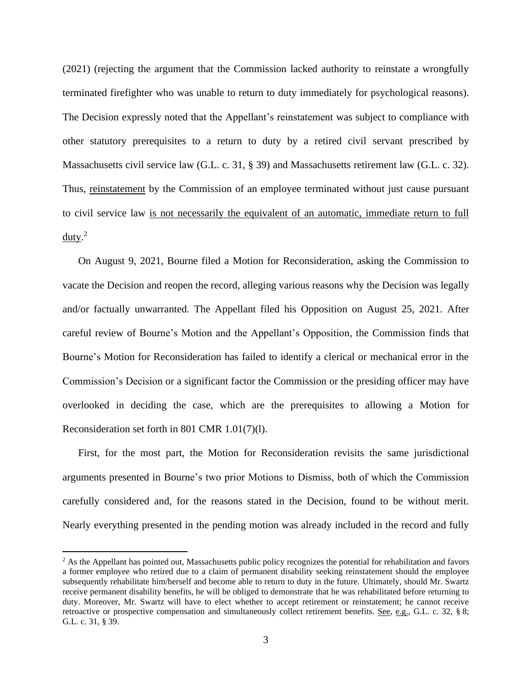(2021) (rejecting the argument that the Commission lacked authority to reinstate a wrongfully terminated firefighter who was unable to return to duty immediately for psychological reasons). The Decision expressly noted that the Appellant's reinstatement was subject to compliance with other statutory prerequisites to a return to duty by a retired civil servant prescribed by Massachusetts civil service law (G.L. c. 31, § 39) and Massachusetts retirement law (G.L. c. 32). Thus, reinstatement by the Commission of an employee terminated without just cause pursuant to civil service law is not necessarily the equivalent of an automatic, immediate return to full  $d$ uty.<sup>2</sup>

On August 9, 2021, Bourne filed a Motion for Reconsideration, asking the Commission to vacate the Decision and reopen the record, alleging various reasons why the Decision was legally and/or factually unwarranted. The Appellant filed his Opposition on August 25, 2021. After careful review of Bourne's Motion and the Appellant's Opposition, the Commission finds that Bourne's Motion for Reconsideration has failed to identify a clerical or mechanical error in the Commission's Decision or a significant factor the Commission or the presiding officer may have overlooked in deciding the case, which are the prerequisites to allowing a Motion for Reconsideration set forth in 801 CMR 1.01(7)(l).

First, for the most part, the Motion for Reconsideration revisits the same jurisdictional arguments presented in Bourne's two prior Motions to Dismiss, both of which the Commission carefully considered and, for the reasons stated in the Decision, found to be without merit. Nearly everything presented in the pending motion was already included in the record and fully

<sup>&</sup>lt;sup>2</sup> As the Appellant has pointed out, Massachusetts public policy recognizes the potential for rehabilitation and favors a former employee who retired due to a claim of permanent disability seeking reinstatement should the employee subsequently rehabilitate him/herself and become able to return to duty in the future. Ultimately, should Mr. Swartz receive permanent disability benefits, he will be obliged to demonstrate that he was rehabilitated before returning to duty. Moreover, Mr. Swartz will have to elect whether to accept retirement or reinstatement; he cannot receive retroactive or prospective compensation and simultaneously collect retirement benefits. See, e.g., G.L. c. 32, § 8; G.L. c. 31, § 39.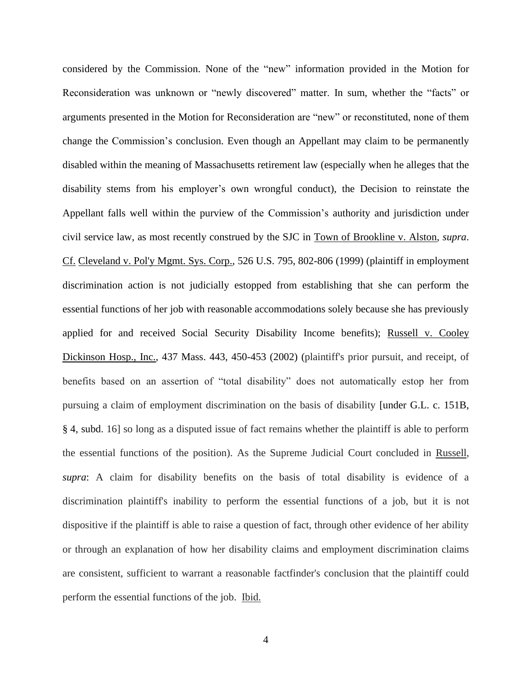considered by the Commission. None of the "new" information provided in the Motion for Reconsideration was unknown or "newly discovered" matter. In sum, whether the "facts" or arguments presented in the Motion for Reconsideration are "new" or reconstituted, none of them change the Commission's conclusion. Even though an Appellant may claim to be permanently disabled within the meaning of Massachusetts retirement law (especially when he alleges that the disability stems from his employer's own wrongful conduct), the Decision to reinstate the Appellant falls well within the purview of the Commission's authority and jurisdiction under civil service law, as most recently construed by the SJC in Town of Brookline v. Alston, *supra*. Cf. Cleveland v. Pol'y Mgmt. Sys. Corp., 526 U.S. 795, 802-806 (1999) (plaintiff in employment discrimination action is not judicially estopped from establishing that she can perform the essential functions of her job with reasonable accommodations solely because she has previously applied for and received Social Security Disability Income benefits); Russell v. Cooley Dickinson Hosp., Inc., 437 Mass. 443, 450-453 (2002) (plaintiff's prior pursuit, and receipt, of benefits based on an assertion of "total disability" does not automatically estop her from pursuing a claim of employment discrimination on the basis of disability [\[under G.L. c. 151B,](https://1.next.westlaw.com/Link/Document/FullText?findType=L&pubNum=1000042&cite=MAST151BS4&originatingDoc=I3735e2d5d39011d99439b076ef9ec4de&refType=LQ&originationContext=document&transitionType=DocumentItem&ppcid=8737f7683d81470987ed376dea9b915f&contextData=(sc.Keycite))  § [4,](https://1.next.westlaw.com/Link/Document/FullText?findType=L&pubNum=1000042&cite=MAST151BS4&originatingDoc=I3735e2d5d39011d99439b076ef9ec4de&refType=LQ&originationContext=document&transitionType=DocumentItem&ppcid=8737f7683d81470987ed376dea9b915f&contextData=(sc.Keycite)) subd. 16] so long as a disputed issue of fact remains whether the plaintiff is able to perform the essential functions of the position). As the Supreme Judicial Court concluded in Russell, *supra*: A claim for disability benefits on the basis of total disability is evidence of a discrimination plaintiff's inability to perform the essential functions of a job, but it is not dispositive if the plaintiff is able to raise a question of fact, through other evidence of her ability or through an explanation of how her disability claims and employment discrimination claims are consistent, sufficient to warrant a reasonable factfinder's conclusion that the plaintiff could perform the essential functions of the job. Ibid.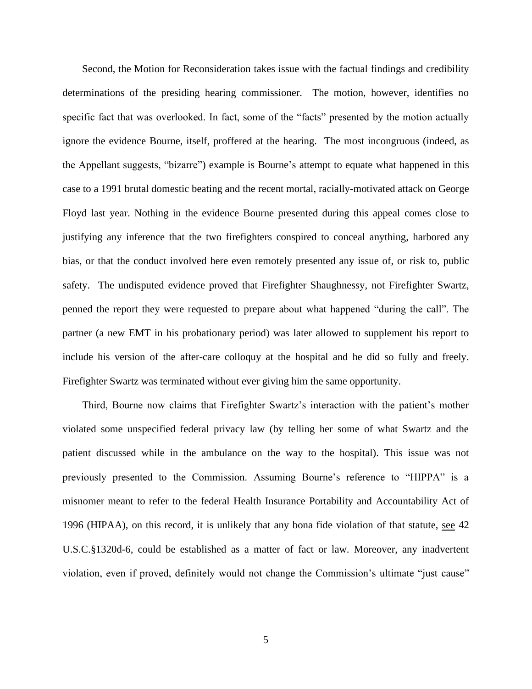Second, the Motion for Reconsideration takes issue with the factual findings and credibility determinations of the presiding hearing commissioner. The motion, however, identifies no specific fact that was overlooked. In fact, some of the "facts" presented by the motion actually ignore the evidence Bourne, itself, proffered at the hearing. The most incongruous (indeed, as the Appellant suggests, "bizarre") example is Bourne's attempt to equate what happened in this case to a 1991 brutal domestic beating and the recent mortal, racially-motivated attack on George Floyd last year. Nothing in the evidence Bourne presented during this appeal comes close to justifying any inference that the two firefighters conspired to conceal anything, harbored any bias, or that the conduct involved here even remotely presented any issue of, or risk to, public safety. The undisputed evidence proved that Firefighter Shaughnessy, not Firefighter Swartz, penned the report they were requested to prepare about what happened "during the call". The partner (a new EMT in his probationary period) was later allowed to supplement his report to include his version of the after-care colloquy at the hospital and he did so fully and freely. Firefighter Swartz was terminated without ever giving him the same opportunity.

Third, Bourne now claims that Firefighter Swartz's interaction with the patient's mother violated some unspecified federal privacy law (by telling her some of what Swartz and the patient discussed while in the ambulance on the way to the hospital). This issue was not previously presented to the Commission. Assuming Bourne's reference to "HIPPA" is a misnomer meant to refer to the federal Health Insurance Portability and Accountability Act of 1996 (HIPAA), on this record, it is unlikely that any bona fide violation of that statute, see 42 U.S.C.§1320d-6, could be established as a matter of fact or law. Moreover, any inadvertent violation, even if proved, definitely would not change the Commission's ultimate "just cause"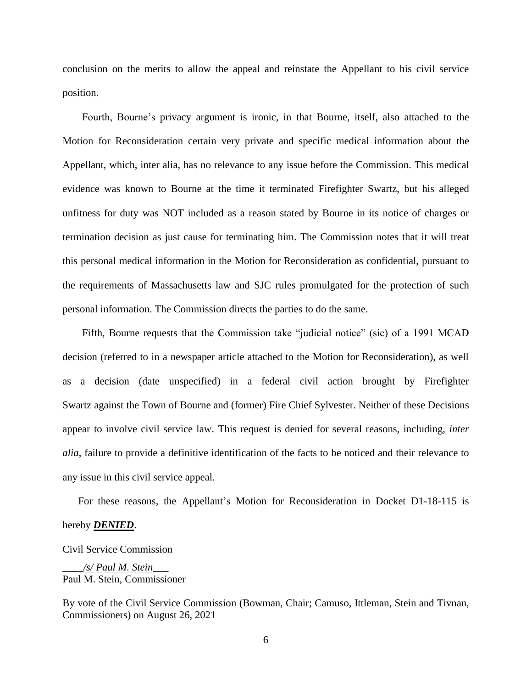conclusion on the merits to allow the appeal and reinstate the Appellant to his civil service position.

Fourth, Bourne's privacy argument is ironic, in that Bourne, itself, also attached to the Motion for Reconsideration certain very private and specific medical information about the Appellant, which, inter alia, has no relevance to any issue before the Commission. This medical evidence was known to Bourne at the time it terminated Firefighter Swartz, but his alleged unfitness for duty was NOT included as a reason stated by Bourne in its notice of charges or termination decision as just cause for terminating him. The Commission notes that it will treat this personal medical information in the Motion for Reconsideration as confidential, pursuant to the requirements of Massachusetts law and SJC rules promulgated for the protection of such personal information. The Commission directs the parties to do the same.

Fifth, Bourne requests that the Commission take "judicial notice" (sic) of a 1991 MCAD decision (referred to in a newspaper article attached to the Motion for Reconsideration), as well as a decision (date unspecified) in a federal civil action brought by Firefighter Swartz against the Town of Bourne and (former) Fire Chief Sylvester. Neither of these Decisions appear to involve civil service law. This request is denied for several reasons, including, *inter alia*, failure to provide a definitive identification of the facts to be noticed and their relevance to any issue in this civil service appeal.

For these reasons, the Appellant's Motion for Reconsideration in Docket D1-18-115 is

#### hereby *DENIED*.

Civil Service Commission

\_\_\_\_*/s/ Paul M. Stein*\_\_\_ Paul M. Stein, Commissioner

By vote of the Civil Service Commission (Bowman, Chair; Camuso, Ittleman, Stein and Tivnan, Commissioners) on August 26, 2021